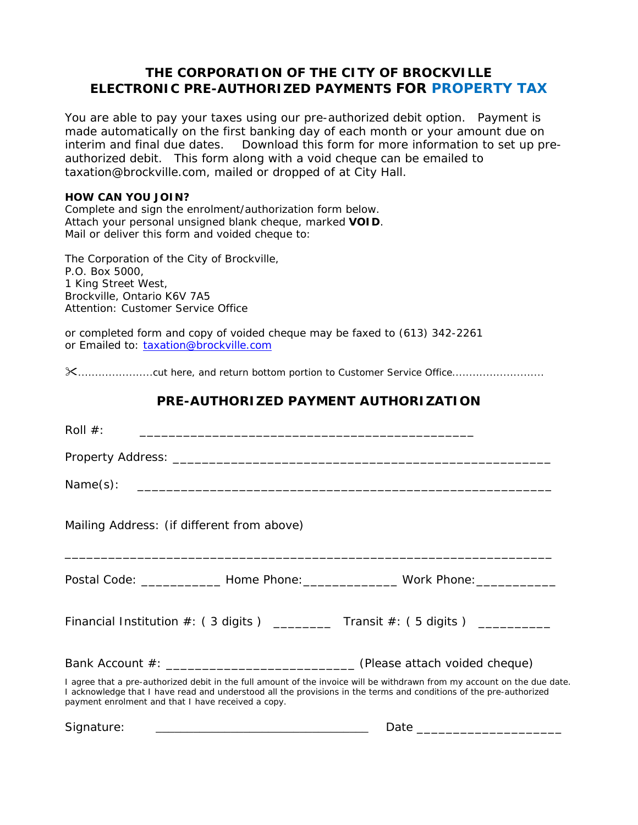## **THE CORPORATION OF THE CITY OF BROCKVILLE ELECTRONIC PRE-AUTHORIZED PAYMENTS FOR PROPERTY TAX**

You are able to pay your taxes using our pre-authorized debit option. Payment is made automatically on the first banking day of each month or your amount due on interim and final due dates. Download this form for more information to set up preauthorized debit. This form along with a void cheque can be emailed to taxation@brockville.com, mailed or dropped of at City Hall.

#### **HOW CAN YOU JOIN?**

Complete and sign the enrolment/authorization form below. Attach your personal unsigned blank cheque, marked **VOID**. Mail or deliver this form and voided cheque to:

The Corporation of the City of Brockville, P.O. Box 5000, 1 King Street West, Brockville, Ontario K6V 7A5 Attention: Customer Service Office

or completed form and copy of voided cheque may be faxed to (613) 342-2261 or Emailed to: taxation@brockville.com

......................cut here, and return bottom portion to Customer Service Office...........................

# **PRE-AUTHORIZED PAYMENT AUTHORIZATION** Roll #: \_\_\_\_\_\_\_\_\_\_\_\_\_\_\_\_\_\_\_\_\_\_\_\_\_\_\_\_\_\_\_\_\_\_\_\_\_\_\_\_\_\_\_\_\_\_ Property Address: \_\_\_\_\_\_\_\_\_\_\_\_\_\_\_\_\_\_\_\_\_\_\_\_\_\_\_\_\_\_\_\_\_\_\_\_\_\_\_\_\_\_\_\_\_\_\_\_\_\_\_\_  $Name(s):$ Mailing Address: (if different from above) \_\_\_\_\_\_\_\_\_\_\_\_\_\_\_\_\_\_\_\_\_\_\_\_\_\_\_\_\_\_\_\_\_\_\_\_\_\_\_\_\_\_\_\_\_\_\_\_\_\_\_\_\_\_\_\_\_\_\_\_\_\_\_\_\_\_\_ Postal Code: etc. All Home Phone: etc. All and Mork Phone: Financial Institution  $\#$ : (3 digits ) \_\_\_\_\_\_\_ Transit  $\#$ : (5 digits ) \_\_\_\_\_\_\_\_ Bank Account #: \_\_\_\_\_\_\_\_\_\_\_\_\_\_\_\_\_\_\_\_\_\_\_\_\_\_ *(Please* a*ttach voided cheque)*  I agree that a pre-authorized debit in the full amount of the invoice will be withdrawn from my account on the due date. I acknowledge that I have read and understood all the provisions in the terms and conditions of the pre-authorized payment enrolment and that I have received a copy. *Signature:* \_\_\_\_\_\_\_\_\_\_\_\_\_\_\_\_\_\_\_\_\_\_\_\_\_\_\_\_\_\_\_\_\_\_ *Date \_\_\_\_\_\_\_\_\_\_\_\_\_\_\_\_\_\_\_\_*